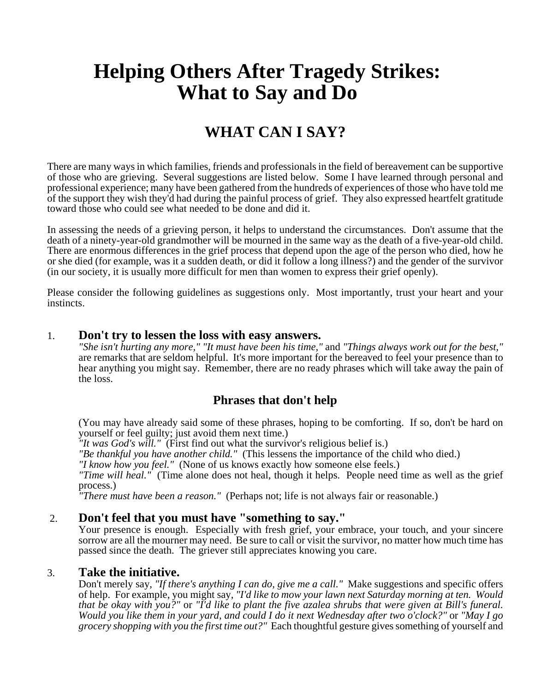# **Helping Others After Tragedy Strikes: What to Say and Do**

# **WHAT CAN I SAY?**

There are many ways in which families, friends and professionals in the field of bereavement can be supportive of those who are grieving. Several suggestions are listed below. Some I have learned through personal and professional experience; many have been gathered from the hundreds of experiences of those who have told me of the support they wish they'd had during the painful process of grief. They also expressed heartfelt gratitude toward those who could see what needed to be done and did it.

In assessing the needs of a grieving person, it helps to understand the circumstances. Don't assume that the death of a ninety-year-old grandmother will be mourned in the same way as the death of a five-year-old child. There are enormous differences in the grief process that depend upon the age of the person who died, how he or she died (for example, was it a sudden death, or did it follow a long illness?) and the gender of the survivor (in our society, it is usually more difficult for men than women to express their grief openly).

Please consider the following guidelines as suggestions only. Most importantly, trust your heart and your instincts.

#### 1. **Don't try to lessen the loss with easy answers.**

*"She isn't hurting any more," "It must have been his time,"* and *"Things always work out for the best,"* are remarks that are seldom helpful. It's more important for the bereaved to feel your presence than to hear anything you might say. Remember, there are no ready phrases which will take away the pain of the loss.

# **Phrases that don't help**

(You may have already said some of these phrases, hoping to be comforting. If so, don't be hard on yourself or feel guilty; just avoid them next time.)

*"It was God's will."* (First find out what the survivor's religious belief is.)

*"Be thankful you have another child."* (This lessens the importance of the child who died.)

*"I know how you feel."* (None of us knows exactly how someone else feels.)

*"Time will heal."* (Time alone does not heal, though it helps. People need time as well as the grief process.)

*"There must have been a reason."* (Perhaps not; life is not always fair or reasonable.)

## 2. **Don't feel that you must have "something to say."**

Your presence is enough. Especially with fresh grief, your embrace, your touch, and your sincere sorrow are all the mourner may need. Be sure to call or visit the survivor, no matter how much time has passed since the death. The griever still appreciates knowing you care.

#### 3. **Take the initiative.**

Don't merely say, *"If there's anything I can do, give me a call."* Make suggestions and specific offers of help. For example, you might say, *"I'd like to mow your lawn next Saturday morning at ten. Would that be okay with you?"* or *"I'd like to plant the five azalea shrubs that were given at Bill's funeral. Would you like them in your yard, and could I do it next Wednesday after two o'clock?"* or *"May I go grocery shopping with you the first time out?"* Each thoughtful gesture gives something of yourself and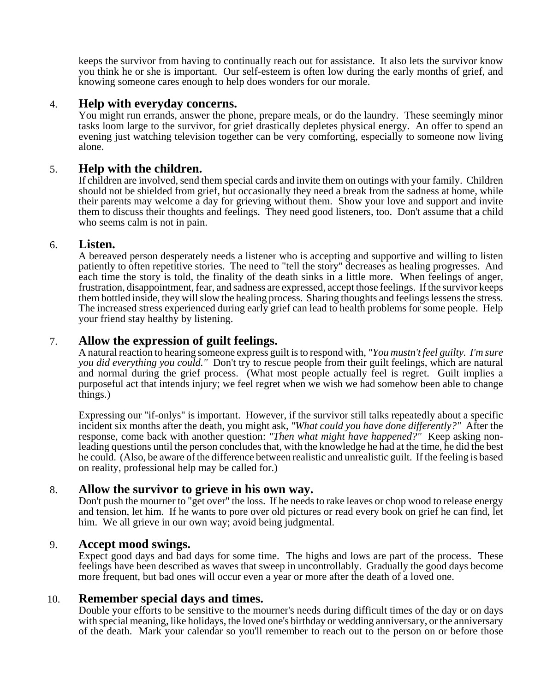keeps the survivor from having to continually reach out for assistance. It also lets the survivor know you think he or she is important. Our self-esteem is often low during the early months of grief, and knowing someone cares enough to help does wonders for our morale.

#### 4. **Help with everyday concerns.**

You might run errands, answer the phone, prepare meals, or do the laundry. These seemingly minor tasks loom large to the survivor, for grief drastically depletes physical energy. An offer to spend an evening just watching television together can be very comforting, especially to someone now living alone.

#### 5. **Help with the children.**

If children are involved, send them special cards and invite them on outings with your family. Children should not be shielded from grief, but occasionally they need a break from the sadness at home, while their parents may welcome a day for grieving without them. Show your love and support and invite them to discuss their thoughts and feelings. They need good listeners, too. Don't assume that a child who seems calm is not in pain.

#### 6. **Listen.**

A bereaved person desperately needs a listener who is accepting and supportive and willing to listen patiently to often repetitive stories. The need to "tell the story" decreases as healing progresses. And each time the story is told, the finality of the death sinks in a little more. When feelings of anger, frustration, disappointment, fear, and sadness are expressed, accept those feelings. If the survivor keeps them bottled inside, they will slow the healing process. Sharing thoughts and feelings lessens the stress. The increased stress experienced during early grief can lead to health problems for some people. Help your friend stay healthy by listening.

## 7. **Allow the expression of guilt feelings.**

A natural reaction to hearing someone express guilt is to respond with, *"You mustn't feel guilty. I'm sure you did everything you could."* Don't try to rescue people from their guilt feelings, which are natural and normal during the grief process. (What most people actually feel is regret. Guilt implies a purposeful act that intends injury; we feel regret when we wish we had somehow been able to change things.)

Expressing our "if-onlys" is important. However, if the survivor still talks repeatedly about a specific incident six months after the death, you might ask, *"What could you have done differently?"* After the response, come back with another question: *"Then what might have happened?"* Keep asking nonleading questions until the person concludes that, with the knowledge he had at the time, he did the best he could. (Also, be aware of the difference between realistic and unrealistic guilt. If the feeling is based on reality, professional help may be called for.)

#### 8. **Allow the survivor to grieve in his own way.**

Don't push the mourner to "get over" the loss. If he needs to rake leaves or chop wood to release energy and tension, let him. If he wants to pore over old pictures or read every book on grief he can find, let him. We all grieve in our own way; avoid being judgmental.

#### 9. **Accept mood swings.**

Expect good days and bad days for some time. The highs and lows are part of the process. These feelings have been described as waves that sweep in uncontrollably. Gradually the good days become more frequent, but bad ones will occur even a year or more after the death of a loved one.

#### 10. **Remember special days and times.**

Double your efforts to be sensitive to the mourner's needs during difficult times of the day or on days with special meaning, like holidays, the loved one's birthday or wedding anniversary, or the anniversary of the death. Mark your calendar so you'll remember to reach out to the person on or before those